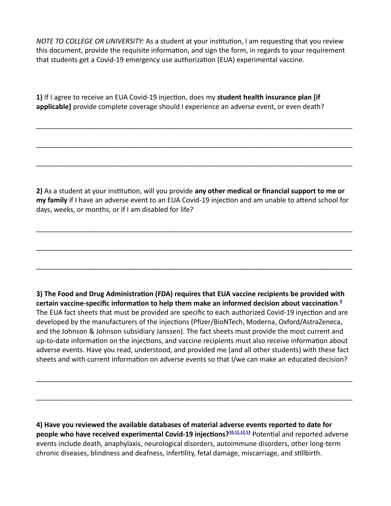*NOTE TO COLLEGE OR UNIVERSITY:* As a student at your institution, I am requesting that you review this document, provide the requisite information, and sign the form, in regards to your requirement that students get a Covid-19 emergency use authorization (EUA) experimental vaccine.

**1)** If I agree to receive an EUA Covid-19 injection, does my **student health insurance plan [if applicable]** provide complete coverage should I experience an adverse event, or even death?

**2)** As a student at your institution, will you provide any other medical or financial support to me or my family if I have an adverse event to an EUA Covid-19 injection and am unable to attend school for days, weeks, or months, or if I am disabled for life?

\_\_\_\_\_\_\_\_\_\_\_\_\_\_\_\_\_\_\_\_\_\_\_\_\_\_\_\_\_\_\_\_\_\_\_\_\_\_\_\_\_\_\_\_\_\_\_\_\_\_\_\_\_\_\_\_\_\_\_\_\_\_\_\_\_\_\_\_\_\_\_\_\_\_\_\_\_\_\_\_\_\_\_

\_\_\_\_\_\_\_\_\_\_\_\_\_\_\_\_\_\_\_\_\_\_\_\_\_\_\_\_\_\_\_\_\_\_\_\_\_\_\_\_\_\_\_\_\_\_\_\_\_\_\_\_\_\_\_\_\_\_\_\_\_\_\_\_\_\_\_\_\_\_\_\_\_\_\_\_\_\_\_\_\_\_\_

\_\_\_\_\_\_\_\_\_\_\_\_\_\_\_\_\_\_\_\_\_\_\_\_\_\_\_\_\_\_\_\_\_\_\_\_\_\_\_\_\_\_\_\_\_\_\_\_\_\_\_\_\_\_\_\_\_\_\_\_\_\_\_\_\_\_\_\_\_\_\_\_\_\_\_\_\_\_\_\_\_\_\_

\_\_\_\_\_\_\_\_\_\_\_\_\_\_\_\_\_\_\_\_\_\_\_\_\_\_\_\_\_\_\_\_\_\_\_\_\_\_\_\_\_\_\_\_\_\_\_\_\_\_\_\_\_\_\_\_\_\_\_\_\_\_\_\_\_\_\_\_\_\_\_\_\_\_\_\_\_\_\_\_\_\_\_

\_\_\_\_\_\_\_\_\_\_\_\_\_\_\_\_\_\_\_\_\_\_\_\_\_\_\_\_\_\_\_\_\_\_\_\_\_\_\_\_\_\_\_\_\_\_\_\_\_\_\_\_\_\_\_\_\_\_\_\_\_\_\_\_\_\_\_\_\_\_\_\_\_\_\_\_\_\_\_\_\_\_\_

\_\_\_\_\_\_\_\_\_\_\_\_\_\_\_\_\_\_\_\_\_\_\_\_\_\_\_\_\_\_\_\_\_\_\_\_\_\_\_\_\_\_\_\_\_\_\_\_\_\_\_\_\_\_\_\_\_\_\_\_\_\_\_\_\_\_\_\_\_\_\_\_\_\_\_\_\_\_\_\_\_\_\_

**3)** The Food and Drug Administration (FDA) requires that EUA vaccine recipients be provided with certain vaccine-specific information to help them make an informed decision about vaccination.<sup>9</sup> The EUA fact sheets that must be provided are specific to each authorized Covid-19 injection and are developed by the manufacturers of the injections (Pfizer/BioNTech, Moderna, Oxford/AstraZeneca, and the Johnson & Johnson subsidiary Janssen). The fact sheets must provide the most current and up-to-date information on the injections, and vaccine recipients must also receive information about adverse events. Have you read, understood, and provided me (and all other students) with these fact sheets and with current information on adverse events so that I/we can make an educated decision?

\_\_\_\_\_\_\_\_\_\_\_\_\_\_\_\_\_\_\_\_\_\_\_\_\_\_\_\_\_\_\_\_\_\_\_\_\_\_\_\_\_\_\_\_\_\_\_\_\_\_\_\_\_\_\_\_\_\_\_\_\_\_\_\_\_\_\_\_\_\_\_\_\_\_\_\_\_\_\_\_\_\_\_

\_\_\_\_\_\_\_\_\_\_\_\_\_\_\_\_\_\_\_\_\_\_\_\_\_\_\_\_\_\_\_\_\_\_\_\_\_\_\_\_\_\_\_\_\_\_\_\_\_\_\_\_\_\_\_\_\_\_\_\_\_\_\_\_\_\_\_\_\_\_\_\_\_\_\_\_\_\_\_\_\_\_\_

**4) Have you reviewed the available databases of material adverse events reported to date for people who have received experimental Covid-19 injections?**<sup>10,11,12,13</sup> Potential and reported adverse events include death, anaphylaxis, neurological disorders, autoimmune disorders, other long-term chronic diseases, blindness and deafness, infertility, fetal damage, miscarriage, and stillbirth.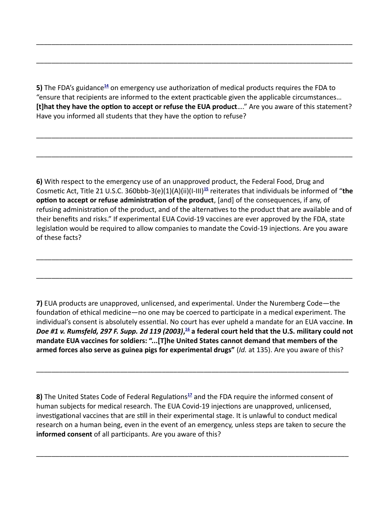**5)** The FDA's guidance<sup>14</sup> on emergency use authorization of medical products requires the FDA to "ensure that recipients are informed to the extent practicable given the applicable circumstances... **[t]hat they have the option to accept or refuse the EUA product...."** Are you aware of this statement? Have you informed all students that they have the option to refuse?

\_\_\_\_\_\_\_\_\_\_\_\_\_\_\_\_\_\_\_\_\_\_\_\_\_\_\_\_\_\_\_\_\_\_\_\_\_\_\_\_\_\_\_\_\_\_\_\_\_\_\_\_\_\_\_\_\_\_\_\_\_\_\_\_\_\_\_\_\_\_\_\_\_\_\_\_\_\_\_\_\_\_\_

\_\_\_\_\_\_\_\_\_\_\_\_\_\_\_\_\_\_\_\_\_\_\_\_\_\_\_\_\_\_\_\_\_\_\_\_\_\_\_\_\_\_\_\_\_\_\_\_\_\_\_\_\_\_\_\_\_\_\_\_\_\_\_\_\_\_\_\_\_\_\_\_\_\_\_\_\_\_\_\_\_\_\_

\_\_\_\_\_\_\_\_\_\_\_\_\_\_\_\_\_\_\_\_\_\_\_\_\_\_\_\_\_\_\_\_\_\_\_\_\_\_\_\_\_\_\_\_\_\_\_\_\_\_\_\_\_\_\_\_\_\_\_\_\_\_\_\_\_\_\_\_\_\_\_\_\_\_\_\_\_\_\_\_\_\_\_

\_\_\_\_\_\_\_\_\_\_\_\_\_\_\_\_\_\_\_\_\_\_\_\_\_\_\_\_\_\_\_\_\_\_\_\_\_\_\_\_\_\_\_\_\_\_\_\_\_\_\_\_\_\_\_\_\_\_\_\_\_\_\_\_\_\_\_\_\_\_\_\_\_\_\_\_\_\_\_\_\_\_\_

**6)** With respect to the emergency use of an unapproved product, the Federal Food, Drug and Cosmetic Act, Title 21 U.S.C. 360bbb-3(e)(1)(A)(ii)(I-III)<sup>15</sup> reiterates that individuals be informed of "the option to accept or refuse administration of the product, [and] of the consequences, if any, of refusing administration of the product, and of the alternatives to the product that are available and of their benefits and risks." If experimental EUA Covid-19 vaccines are ever approved by the FDA, state legislation would be required to allow companies to mandate the Covid-19 injections. Are you aware of these facts?

\_\_\_\_\_\_\_\_\_\_\_\_\_\_\_\_\_\_\_\_\_\_\_\_\_\_\_\_\_\_\_\_\_\_\_\_\_\_\_\_\_\_\_\_\_\_\_\_\_\_\_\_\_\_\_\_\_\_\_\_\_\_\_\_\_\_\_\_\_\_\_\_\_\_\_\_\_\_\_\_\_\_\_

\_\_\_\_\_\_\_\_\_\_\_\_\_\_\_\_\_\_\_\_\_\_\_\_\_\_\_\_\_\_\_\_\_\_\_\_\_\_\_\_\_\_\_\_\_\_\_\_\_\_\_\_\_\_\_\_\_\_\_\_\_\_\_\_\_\_\_\_\_\_\_\_\_\_\_\_\_\_\_\_\_\_\_

**7)** EUA products are unapproved, unlicensed, and experimental. Under the Nuremberg Code—the foundation of ethical medicine—no one may be coerced to participate in a medical experiment. The individual's consent is absolutely essential. No court has ever upheld a mandate for an EUA vaccine. **In** *Doe #1 v. Rumsfeld, 297 F. Supp. 2d 119 (2003)***, 16 a federal court held that the U.S. military could not mandate EUA vaccines for soldiers: "...[T]he United States cannot demand that members of the armed forces also serve as guinea pigs for experimental drugs"** (*Id.* at 135). Are you aware of this?

8) The United States Code of Federal Regulations<sup>17</sup> and the FDA require the informed consent of human subjects for medical research. The EUA Covid-19 injections are unapproved, unlicensed, investigational vaccines that are still in their experimental stage. It is unlawful to conduct medical research on a human being, even in the event of an emergency, unless steps are taken to secure the **informed consent** of all participants. Are you aware of this?

\_\_\_\_\_\_\_\_\_\_\_\_\_\_\_\_\_\_\_\_\_\_\_\_\_\_\_\_\_\_\_\_\_\_\_\_\_\_\_\_\_\_\_\_\_\_\_\_\_\_\_\_\_\_\_\_\_\_\_\_\_\_\_\_\_\_\_\_\_\_\_\_\_\_\_\_\_\_\_\_\_\_

\_\_\_\_\_\_\_\_\_\_\_\_\_\_\_\_\_\_\_\_\_\_\_\_\_\_\_\_\_\_\_\_\_\_\_\_\_\_\_\_\_\_\_\_\_\_\_\_\_\_\_\_\_\_\_\_\_\_\_\_\_\_\_\_\_\_\_\_\_\_\_\_\_\_\_\_\_\_\_\_\_\_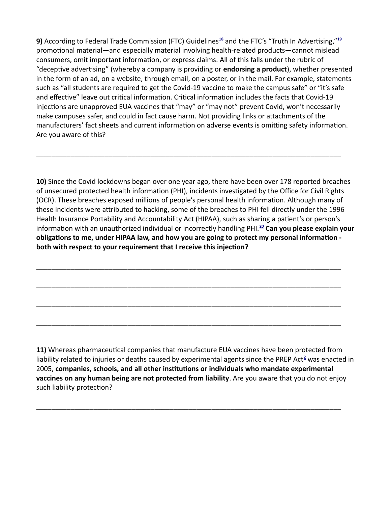**9)** According to Federal Trade Commission (FTC) Guidelines<sup>18</sup> and the FTC's "Truth In Advertising,"<sup>19</sup> promotional material—and especially material involving health-related products—cannot mislead consumers, omit important information, or express claims. All of this falls under the rubric of "deceptive advertising" (whereby a company is providing or **endorsing a product**), whether presented in the form of an ad, on a website, through email, on a poster, or in the mail. For example, statements such as "all students are required to get the Covid-19 vaccine to make the campus safe" or "it's safe and effective" leave out critical information. Critical information includes the facts that Covid-19 injections are unapproved EUA vaccines that "may" or "may not" prevent Covid, won't necessarily make campuses safer, and could in fact cause harm. Not providing links or attachments of the manufacturers' fact sheets and current information on adverse events is omitting safety information. Are you aware of this?

**10)** Since the Covid lockdowns began over one year ago, there have been over 178 reported breaches of unsecured protected health information (PHI), incidents investigated by the Office for Civil Rights (OCR). These breaches exposed millions of people's personal health information. Although many of these incidents were attributed to hacking, some of the breaches to PHI fell directly under the 1996 Health Insurance Portability and Accountability Act (HIPAA), such as sharing a patient's or person's information with an unauthorized individual or incorrectly handling PHI.<sup>20</sup> Can you please explain your obligations to me, under HIPAA law, and how you are going to protect my personal information both with respect to your requirement that I receive this injection?

\_\_\_\_\_\_\_\_\_\_\_\_\_\_\_\_\_\_\_\_\_\_\_\_\_\_\_\_\_\_\_\_\_\_\_\_\_\_\_\_\_\_\_\_\_\_\_\_\_\_\_\_\_\_\_\_\_\_\_\_\_\_\_\_\_\_\_\_\_\_\_\_\_\_\_\_\_\_\_\_

\_\_\_\_\_\_\_\_\_\_\_\_\_\_\_\_\_\_\_\_\_\_\_\_\_\_\_\_\_\_\_\_\_\_\_\_\_\_\_\_\_\_\_\_\_\_\_\_\_\_\_\_\_\_\_\_\_\_\_\_\_\_\_\_\_\_\_\_\_\_\_\_\_\_\_\_\_\_\_\_

\_\_\_\_\_\_\_\_\_\_\_\_\_\_\_\_\_\_\_\_\_\_\_\_\_\_\_\_\_\_\_\_\_\_\_\_\_\_\_\_\_\_\_\_\_\_\_\_\_\_\_\_\_\_\_\_\_\_\_\_\_\_\_\_\_\_\_\_\_\_\_\_\_\_\_\_\_\_\_\_

\_\_\_\_\_\_\_\_\_\_\_\_\_\_\_\_\_\_\_\_\_\_\_\_\_\_\_\_\_\_\_\_\_\_\_\_\_\_\_\_\_\_\_\_\_\_\_\_\_\_\_\_\_\_\_\_\_\_\_\_\_\_\_\_\_\_\_\_\_\_\_\_\_\_\_\_\_\_\_\_

\_\_\_\_\_\_\_\_\_\_\_\_\_\_\_\_\_\_\_\_\_\_\_\_\_\_\_\_\_\_\_\_\_\_\_\_\_\_\_\_\_\_\_\_\_\_\_\_\_\_\_\_\_\_\_\_\_\_\_\_\_\_\_\_\_\_\_\_\_\_\_\_\_\_\_\_\_\_\_\_

**11)** Whereas pharmaceutical companies that manufacture EUA vaccines have been protected from liability related to injuries or deaths caused by experimental agents since the PREP Act<sup>2</sup> was enacted in 2005, companies, schools, and all other institutions or individuals who mandate experimental **vaccines on any human being are not protected from liability**. Are you aware that you do not enjoy such liability protection?

\_\_\_\_\_\_\_\_\_\_\_\_\_\_\_\_\_\_\_\_\_\_\_\_\_\_\_\_\_\_\_\_\_\_\_\_\_\_\_\_\_\_\_\_\_\_\_\_\_\_\_\_\_\_\_\_\_\_\_\_\_\_\_\_\_\_\_\_\_\_\_\_\_\_\_\_\_\_\_\_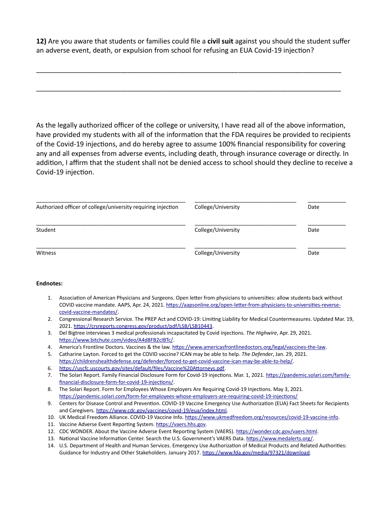**12)** Are you aware that students or families could file a **civil suit** against you should the student suffer an adverse event, death, or expulsion from school for refusing an EUA Covid-19 injection?

\_\_\_\_\_\_\_\_\_\_\_\_\_\_\_\_\_\_\_\_\_\_\_\_\_\_\_\_\_\_\_\_\_\_\_\_\_\_\_\_\_\_\_\_\_\_\_\_\_\_\_\_\_\_\_\_\_\_\_\_\_\_\_\_\_\_\_\_\_\_\_\_\_\_\_\_\_\_\_\_

\_\_\_\_\_\_\_\_\_\_\_\_\_\_\_\_\_\_\_\_\_\_\_\_\_\_\_\_\_\_\_\_\_\_\_\_\_\_\_\_\_\_\_\_\_\_\_\_\_\_\_\_\_\_\_\_\_\_\_\_\_\_\_\_\_\_\_\_\_\_\_\_\_\_\_\_\_\_\_\_

As the legally authorized officer of the college or university, I have read all of the above information, have provided my students with all of the information that the FDA requires be provided to recipients of the Covid-19 injections, and do hereby agree to assume 100% financial responsibility for covering any and all expenses from adverse events, including death, through insurance coverage or directly. In addition, I affirm that the student shall not be denied access to school should they decline to receive a Covid-19 injection.

| Authorized officer of college/university requiring injection | College/University | Date |
|--------------------------------------------------------------|--------------------|------|
| Student                                                      | College/University | Date |
| Witness                                                      | College/University | Date |

## **Endnotes:**

- 1. Association of American Physicians and Surgeons. Open letter from physicians to universities: allow students back without COVID vaccine mandate. AAPS, Apr. 24, 2021. https://aapsonline.org/open-letter-from-physicians-to-universities-reversecovid-vaccine-mandates/.
- 2. Congressional Research Service. The PREP Act and COVID-19: Limiting Liability for Medical Countermeasures. Updated Mar. 19, 2021. https://crsreports.congress.gov/product/pdf/LSB/LSB10443.
- 3. Del Bigtree interviews 3 medical professionals incapacitated by Covid injections. The Highwire, Apr. 29, 2021. https://www.bitchute.com/video/A4d8FB2cIBTc/.
- 4. America's Frontline Doctors. Vaccines & the law. https://www.americasfrontlinedoctors.org/legal/vaccines-the-law.
- 5. Catharine Layton. Forced to get the COVID vaccine? ICAN may be able to help. *The Defender*, Jan. 29, 2021. https://childrenshealthdefense.org/defender/forced-to-get-covid-vaccine-ican-may-be-able-to-help/.
- 6. https://uscfc.uscourts.gov/sites/default/files/Vaccine%20Attorneys.pdf.
- 7. The Solari Report. Family Financial Disclosure Form for Covid-19 injections. Mar. 1, 2021. https://pandemic.solari.com/familyfinancial-disclosure-form-for-covid-19-injections/.
- 8. The Solari Report. Form for Employees Whose Employers Are Requiring Covid-19 Injections. May 3, 2021. https://pandemic.solari.com/form-for-employees-whose-employers-are-requiring-covid-19-injections/
- 9. Centers for Disease Control and Prevention. COVID-19 Vaccine Emergency Use Authorization (EUA) Fact Sheets for Recipients and Caregivers. https://www.cdc.gov/vaccines/covid-19/eua/index.html.
- 10. UK Medical Freedom Alliance. COVID-19 Vaccine Info. https://www.ukmedfreedom.org/resources/covid-19-vaccine-info.
- 11. Vaccine Adverse Event Reporting System. https://vaers.hhs.gov.
- 12. CDC WONDER. About the Vaccine Adverse Event Reporting System (VAERS). https://wonder.cdc.gov/vaers.html.
- 13. National Vaccine Information Center. Search the U.S. Government's VAERS Data. https://www.medalerts.org/.
- 14. U.S. Department of Health and Human Services. Emergency Use Authorization of Medical Products and Related Authorities: Guidance for Industry and Other Stakeholders. January 2017. https://www.fda.gov/media/97321/download.